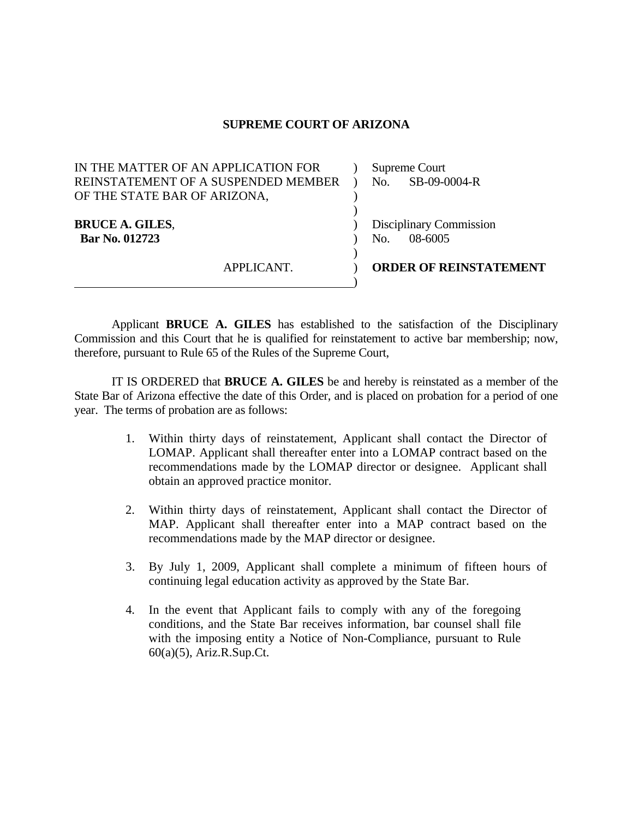## **SUPREME COURT OF ARIZONA**

| IN THE MATTER OF AN APPLICATION FOR | Supreme Court                 |
|-------------------------------------|-------------------------------|
| REINSTATEMENT OF A SUSPENDED MEMBER | SB-09-0004-R<br>No.           |
| OF THE STATE BAR OF ARIZONA,        |                               |
|                                     |                               |
| <b>BRUCE A. GILES,</b>              | Disciplinary Commission       |
| Bar No. 012723                      | 08-6005<br>No.                |
|                                     |                               |
| APPLICANT.                          | <b>ORDER OF REINSTATEMENT</b> |
|                                     |                               |

Applicant **BRUCE A. GILES** has established to the satisfaction of the Disciplinary Commission and this Court that he is qualified for reinstatement to active bar membership; now, therefore, pursuant to Rule 65 of the Rules of the Supreme Court,

IT IS ORDERED that **BRUCE A. GILES** be and hereby is reinstated as a member of the State Bar of Arizona effective the date of this Order, and is placed on probation for a period of one year. The terms of probation are as follows:

- 1. Within thirty days of reinstatement, Applicant shall contact the Director of LOMAP. Applicant shall thereafter enter into a LOMAP contract based on the recommendations made by the LOMAP director or designee. Applicant shall obtain an approved practice monitor.
- 2. Within thirty days of reinstatement, Applicant shall contact the Director of MAP. Applicant shall thereafter enter into a MAP contract based on the recommendations made by the MAP director or designee.
- 3. By July 1, 2009, Applicant shall complete a minimum of fifteen hours of continuing legal education activity as approved by the State Bar.
- 4. In the event that Applicant fails to comply with any of the foregoing conditions, and the State Bar receives information, bar counsel shall file with the imposing entity a Notice of Non-Compliance, pursuant to Rule 60(a)(5), Ariz.R.Sup.Ct.